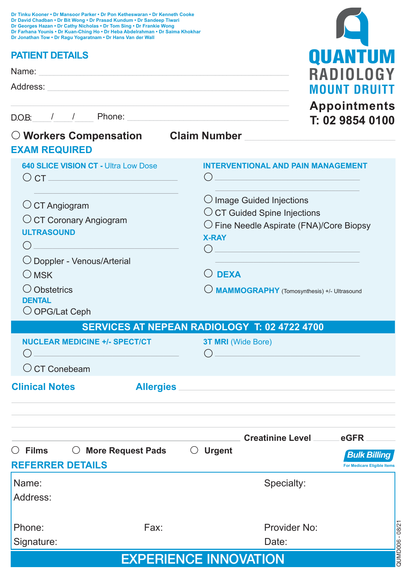| Dr Tinku Kooner • Dr Mansoor Parker • Dr Pon Ketheswaran • Dr Kenneth Cooke   |  |
|-------------------------------------------------------------------------------|--|
| Dr David Chadban • Dr Bit Wong • Dr Prasad Kundum • Dr Sandeep Tiwari         |  |
| Dr Georges Hazan • Dr Cathy Nicholas • Dr Tom Sing • Dr Frankie Wong          |  |
| Dr Farhana Younis • Dr Kuan-Ching Ho • Dr Heba Abdelrahman • Dr Saima Khokhar |  |
| Dr Jonathan Tow • Dr Ragu Yogaratnam • Dr Hans Van der Wall                   |  |

### **PATIENT DETAILS**

| <b>PATIENT DETAILS</b>                   | <b>QUANTUM</b>                          |
|------------------------------------------|-----------------------------------------|
| Name:<br>Address:                        | <b>RADIOLOGY</b><br><b>MOUNT DRUITT</b> |
| D.O.B: / / Phone: _                      | <b>Appointments</b><br>T: 02 9854 0100  |
| $\circlearrowright$ Workers Compensation | <b>Claim Number</b>                     |

| ○ More Request Pads<br>$\bigcirc$ Films $\bigcirc$<br><b>REFERRER DETAILS</b>                       | Creatinine Level ______ eGFR<br>$\circlearrowright$ Urgent                                                                                                                                                                                                    | <b>Bulk Billing</b><br><b>For Medicare Eligible Items</b> |
|-----------------------------------------------------------------------------------------------------|---------------------------------------------------------------------------------------------------------------------------------------------------------------------------------------------------------------------------------------------------------------|-----------------------------------------------------------|
| <b>Clinical Notes</b>                                                                               | Allergies                                                                                                                                                                                                                                                     |                                                           |
| <b>NUCLEAR MEDICINE +/- SPECT/CT</b><br>$\bigcirc$ CT Conebeam                                      | <b>3T MRI</b> (Wide Bore)                                                                                                                                                                                                                                     |                                                           |
|                                                                                                     | <b>SERVICES AT NEPEAN RADIOLOGY T: 02 4722 4700</b>                                                                                                                                                                                                           |                                                           |
| $\bigcirc$ MSK<br>$\bigcirc$ Obstetrics<br><b>DENTAL</b><br>$\bigcirc$ OPG/Lat Ceph                 | $\bigcirc$ dexa<br>MAMMOGRAPHY (Tomosynthesis) +/- Ultrasound                                                                                                                                                                                                 |                                                           |
| $\circ$ CT Angiogram<br>O CT Coronary Angiogram<br><b>ULTRASOUND</b><br>○ Doppler - Venous/Arterial | $\bigcirc$ Image Guided Injections<br>O CT Guided Spine Injections<br>O Fine Needle Aspirate (FNA)/Core Biopsy<br><b>X-RAY</b><br>( )<br><u> 1989 - Johann Stein, marwolaethau a bhann an t-Amhair an t-Amhair an t-Amhair an t-Amhair an t-Amhair an t-A</u> |                                                           |
| <b>640 SLICE VISION CT - Ultra Low Dose</b><br>$\overline{C}$ CT $\overline{C}$ CT $\overline{C}$   | <b>INTERVENTIONAL AND PAIN MANAGEMENT</b><br><u> 1989 - Johann Barn, mars eta bat erroman erroman erroman erroman erroman erroman erroman erroman erroman err</u>                                                                                             |                                                           |

| $\bigcirc$ Films                        | <b>More Request Pads</b><br>Ő | <b>Urgent</b> | <b>Bulk Billing</b>                |  |  |  |
|-----------------------------------------|-------------------------------|---------------|------------------------------------|--|--|--|
| <b>REFERRER DETAILS</b>                 |                               |               | <b>For Medicare Eligible Items</b> |  |  |  |
| Name:                                   |                               | Specialty:    |                                    |  |  |  |
| Address:                                |                               |               |                                    |  |  |  |
| Phone:                                  | Fax:                          | Provider No:  | 08/21                              |  |  |  |
| Signature:                              |                               | Date:         |                                    |  |  |  |
| auwpoos<br><b>EXPERIENCE INNOVATION</b> |                               |               |                                    |  |  |  |

# EXPERIENCE INNOVATION